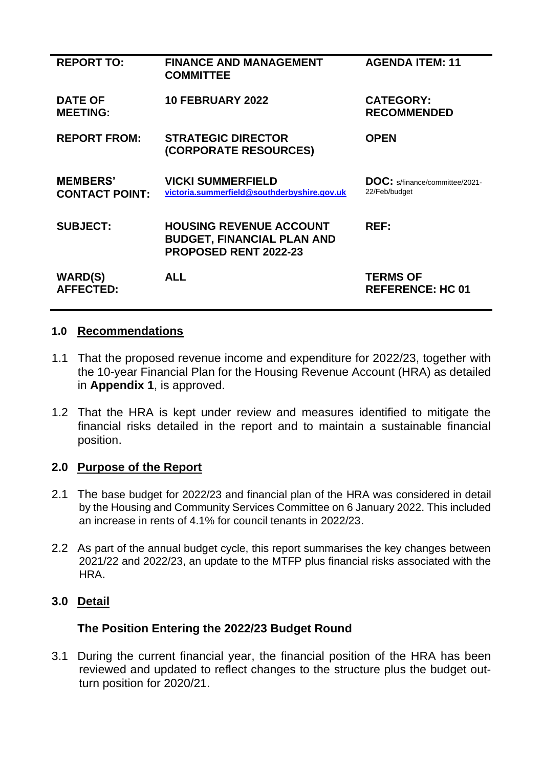| <b>REPORT TO:</b>                        | <b>FINANCE AND MANAGEMENT</b><br><b>COMMITTEE</b>                                            | <b>AGENDA ITEM: 11</b>                                 |
|------------------------------------------|----------------------------------------------------------------------------------------------|--------------------------------------------------------|
| <b>DATE OF</b><br><b>MEETING:</b>        | <b>10 FEBRUARY 2022</b>                                                                      | <b>CATEGORY:</b><br><b>RECOMMENDED</b>                 |
| <b>REPORT FROM:</b>                      | <b>STRATEGIC DIRECTOR</b><br>(CORPORATE RESOURCES)                                           | <b>OPEN</b>                                            |
| <b>MEMBERS'</b><br><b>CONTACT POINT:</b> | <b>VICKI SUMMERFIELD</b><br>victoria.summerfield@southderbyshire.gov.uk                      | <b>DOC:</b> s/finance/committee/2021-<br>22/Feb/budget |
| <b>SUBJECT:</b>                          | <b>HOUSING REVENUE ACCOUNT</b><br><b>BUDGET, FINANCIAL PLAN AND</b><br>PROPOSED RENT 2022-23 | REF:                                                   |
| <b>WARD(S)</b><br><b>AFFECTED:</b>       | <b>ALL</b>                                                                                   | <b>TERMS OF</b><br><b>REFERENCE: HC 01</b>             |

#### **1.0 Recommendations**

- 1.1 That the proposed revenue income and expenditure for 2022/23, together with the 10-year Financial Plan for the Housing Revenue Account (HRA) as detailed in **Appendix 1**, is approved.
- 1.2 That the HRA is kept under review and measures identified to mitigate the financial risks detailed in the report and to maintain a sustainable financial position.

## **2.0 Purpose of the Report**

- 2.1 The base budget for 2022/23 and financial plan of the HRA was considered in detail by the Housing and Community Services Committee on 6 January 2022. This included an increase in rents of 4.1% for council tenants in 2022/23.
- 2.2 As part of the annual budget cycle, this report summarises the key changes between 2021/22 and 2022/23, an update to the MTFP plus financial risks associated with the HRA.

#### **3.0 Detail**

#### **The Position Entering the 2022/23 Budget Round**

3.1 During the current financial year, the financial position of the HRA has been reviewed and updated to reflect changes to the structure plus the budget outturn position for 2020/21.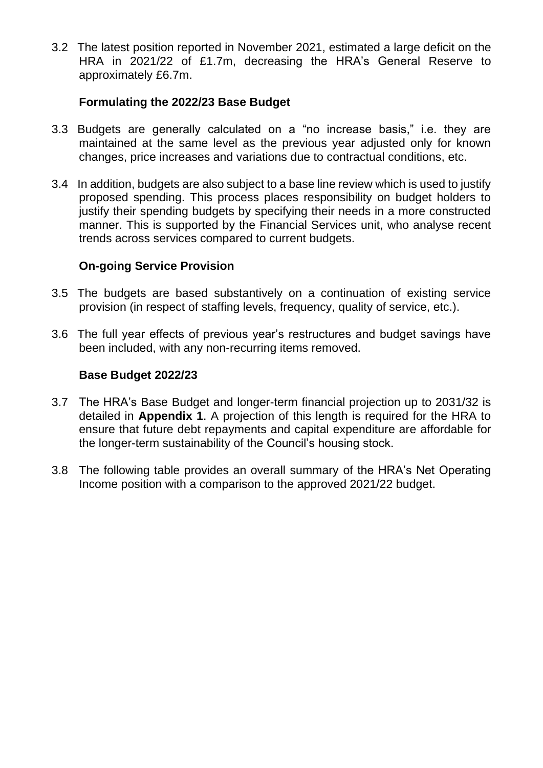3.2 The latest position reported in November 2021, estimated a large deficit on the HRA in 2021/22 of £1.7m, decreasing the HRA's General Reserve to approximately £6.7m.

## **Formulating the 2022/23 Base Budget**

- 3.3 Budgets are generally calculated on a "no increase basis," i.e. they are maintained at the same level as the previous year adjusted only for known changes, price increases and variations due to contractual conditions, etc.
- 3.4 In addition, budgets are also subject to a base line review which is used to justify proposed spending. This process places responsibility on budget holders to justify their spending budgets by specifying their needs in a more constructed manner. This is supported by the Financial Services unit, who analyse recent trends across services compared to current budgets.

#### **On-going Service Provision**

- 3.5 The budgets are based substantively on a continuation of existing service provision (in respect of staffing levels, frequency, quality of service, etc.).
- 3.6 The full year effects of previous year's restructures and budget savings have been included, with any non-recurring items removed.

#### **Base Budget 2022/23**

- 3.7 The HRA's Base Budget and longer-term financial projection up to 2031/32 is detailed in **Appendix 1**. A projection of this length is required for the HRA to ensure that future debt repayments and capital expenditure are affordable for the longer-term sustainability of the Council's housing stock.
- 3.8 The following table provides an overall summary of the HRA's Net Operating Income position with a comparison to the approved 2021/22 budget.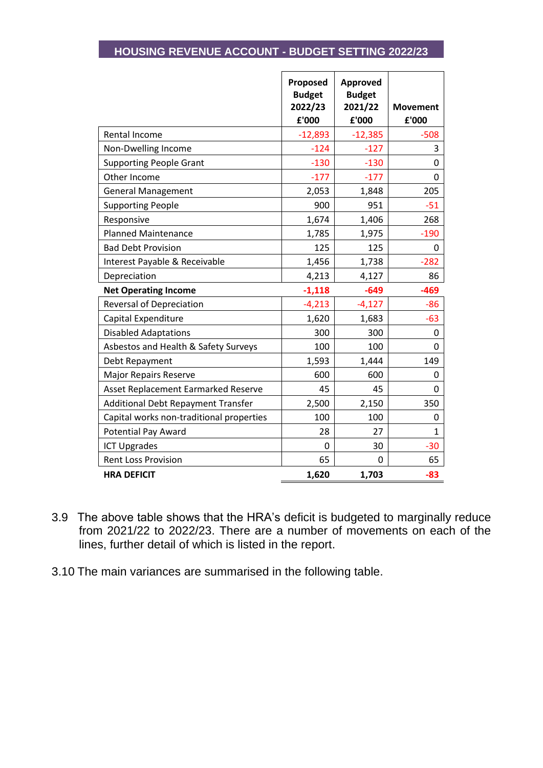# **HOUSING REVENUE ACCOUNT - BUDGET SETTING 2022/23**

Ē

|                                           | Proposed<br><b>Budget</b><br>2022/23 | Approved<br><b>Budget</b><br>2021/22 | <b>Movement</b> |
|-------------------------------------------|--------------------------------------|--------------------------------------|-----------------|
|                                           | £'000                                | £'000                                | £'000           |
| Rental Income                             | $-12,893$                            | $-12,385$                            | $-508$          |
| Non-Dwelling Income                       | $-124$                               | $-127$                               | 3               |
| <b>Supporting People Grant</b>            | $-130$                               | $-130$                               | 0               |
| Other Income                              | $-177$                               | $-177$                               | 0               |
| <b>General Management</b>                 | 2,053                                | 1,848                                | 205             |
| <b>Supporting People</b>                  | 900                                  | 951                                  | $-51$           |
| Responsive                                | 1,674                                | 1,406                                | 268             |
| <b>Planned Maintenance</b>                | 1,785                                | 1,975                                | $-190$          |
| <b>Bad Debt Provision</b>                 | 125                                  | 125                                  | 0               |
| Interest Payable & Receivable             | 1,456                                | 1,738                                | $-282$          |
| Depreciation                              | 4,213                                | 4,127                                | 86              |
| <b>Net Operating Income</b>               | $-1,118$                             | $-649$                               | $-469$          |
| Reversal of Depreciation                  | $-4,213$                             | $-4,127$                             | $-86$           |
| Capital Expenditure                       | 1,620                                | 1,683                                | $-63$           |
| <b>Disabled Adaptations</b>               | 300                                  | 300                                  | 0               |
| Asbestos and Health & Safety Surveys      | 100                                  | 100                                  | 0               |
| Debt Repayment                            | 1,593                                | 1,444                                | 149             |
| <b>Major Repairs Reserve</b>              | 600                                  | 600                                  | 0               |
| Asset Replacement Earmarked Reserve       | 45                                   | 45                                   | 0               |
| <b>Additional Debt Repayment Transfer</b> | 2,500                                | 2,150                                | 350             |
| Capital works non-traditional properties  | 100                                  | 100                                  | 0               |
| <b>Potential Pay Award</b>                | 28                                   | 27                                   | $\mathbf{1}$    |
| <b>ICT Upgrades</b>                       | 0                                    | 30                                   | $-30$           |
| <b>Rent Loss Provision</b>                | 65                                   | 0                                    | 65              |
| <b>HRA DEFICIT</b>                        | 1,620                                | 1,703                                | -83             |

- 3.9 The above table shows that the HRA's deficit is budgeted to marginally reduce from 2021/22 to 2022/23. There are a number of movements on each of the lines, further detail of which is listed in the report.
- 3.10 The main variances are summarised in the following table.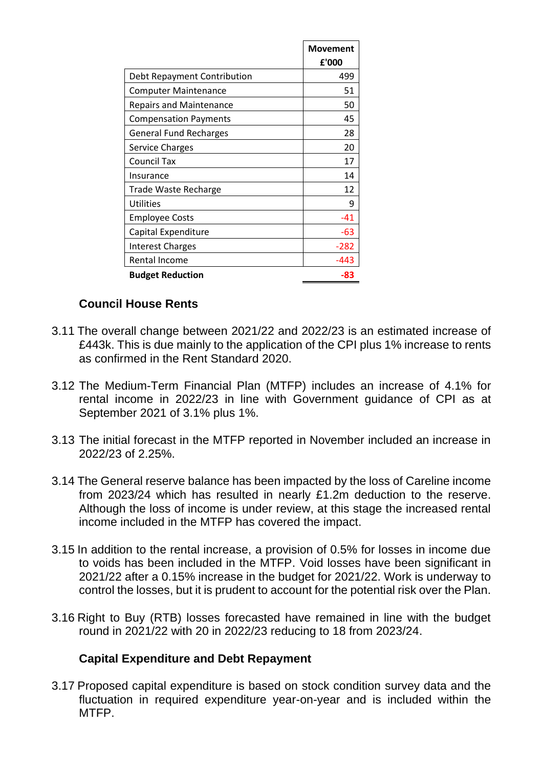|                                | <b>Movement</b><br>£'000 |
|--------------------------------|--------------------------|
| Debt Repayment Contribution    | 499                      |
| <b>Computer Maintenance</b>    | 51                       |
| <b>Repairs and Maintenance</b> | 50                       |
| <b>Compensation Payments</b>   | 45                       |
| <b>General Fund Recharges</b>  | 28                       |
| Service Charges                | 20                       |
| Council Tax                    | 17                       |
| Insurance                      | 14                       |
| <b>Trade Waste Recharge</b>    | 12                       |
| <b>Utilities</b>               | 9                        |
| <b>Employee Costs</b>          | $-41$                    |
| Capital Expenditure            | -63                      |
| <b>Interest Charges</b>        | $-282$                   |
| Rental Income                  | $-443$                   |
| <b>Budget Reduction</b>        | -83                      |

# **Council House Rents**

- 3.11 The overall change between 2021/22 and 2022/23 is an estimated increase of £443k. This is due mainly to the application of the CPI plus 1% increase to rents as confirmed in the Rent Standard 2020.
- 3.12 The Medium-Term Financial Plan (MTFP) includes an increase of 4.1% for rental income in 2022/23 in line with Government guidance of CPI as at September 2021 of 3.1% plus 1%.
- 3.13 The initial forecast in the MTFP reported in November included an increase in 2022/23 of 2.25%.
- 3.14 The General reserve balance has been impacted by the loss of Careline income from 2023/24 which has resulted in nearly £1.2m deduction to the reserve. Although the loss of income is under review, at this stage the increased rental income included in the MTFP has covered the impact.
- 3.15 In addition to the rental increase, a provision of 0.5% for losses in income due to voids has been included in the MTFP. Void losses have been significant in 2021/22 after a 0.15% increase in the budget for 2021/22. Work is underway to control the losses, but it is prudent to account for the potential risk over the Plan.
- 3.16 Right to Buy (RTB) losses forecasted have remained in line with the budget round in 2021/22 with 20 in 2022/23 reducing to 18 from 2023/24.

## **Capital Expenditure and Debt Repayment**

3.17 Proposed capital expenditure is based on stock condition survey data and the fluctuation in required expenditure year-on-year and is included within the MTFP.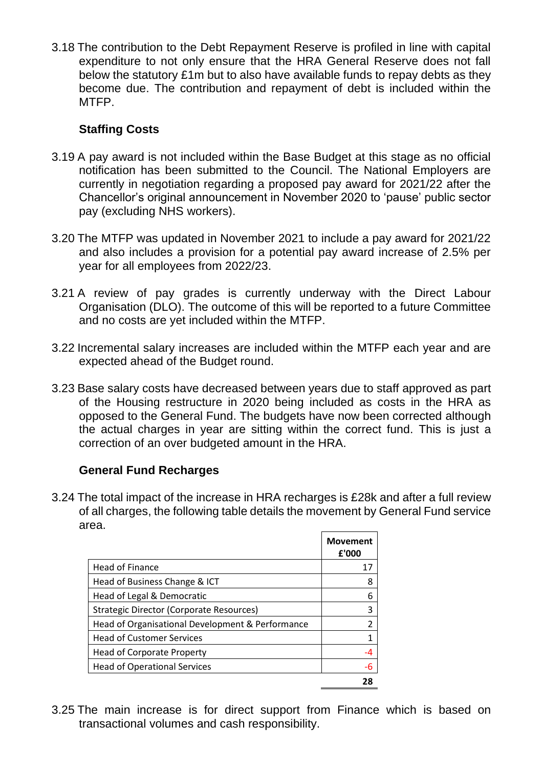3.18 The contribution to the Debt Repayment Reserve is profiled in line with capital expenditure to not only ensure that the HRA General Reserve does not fall below the statutory £1m but to also have available funds to repay debts as they become due. The contribution and repayment of debt is included within the MTFP.

## **Staffing Costs**

- 3.19 A pay award is not included within the Base Budget at this stage as no official notification has been submitted to the Council. The National Employers are currently in negotiation regarding a proposed pay award for 2021/22 after the Chancellor's original announcement in November 2020 to 'pause' public sector pay (excluding NHS workers).
- 3.20 The MTFP was updated in November 2021 to include a pay award for 2021/22 and also includes a provision for a potential pay award increase of 2.5% per year for all employees from 2022/23.
- 3.21 A review of pay grades is currently underway with the Direct Labour Organisation (DLO). The outcome of this will be reported to a future Committee and no costs are yet included within the MTFP.
- 3.22 Incremental salary increases are included within the MTFP each year and are expected ahead of the Budget round.
- 3.23 Base salary costs have decreased between years due to staff approved as part of the Housing restructure in 2020 being included as costs in the HRA as opposed to the General Fund. The budgets have now been corrected although the actual charges in year are sitting within the correct fund. This is just a correction of an over budgeted amount in the HRA.

# **General Fund Recharges**

3.24 The total impact of the increase in HRA recharges is £28k and after a full review of all charges, the following table details the movement by General Fund service area.

|                                                  | Movement<br>£'000 |
|--------------------------------------------------|-------------------|
| <b>Head of Finance</b>                           | 17                |
| Head of Business Change & ICT                    | 8                 |
| Head of Legal & Democratic                       | 6                 |
| <b>Strategic Director (Corporate Resources)</b>  | 3                 |
| Head of Organisational Development & Performance | 2                 |
| <b>Head of Customer Services</b>                 | 1                 |
| <b>Head of Corporate Property</b>                | -4                |
| <b>Head of Operational Services</b>              | -6                |
|                                                  | 78                |

3.25 The main increase is for direct support from Finance which is based on transactional volumes and cash responsibility.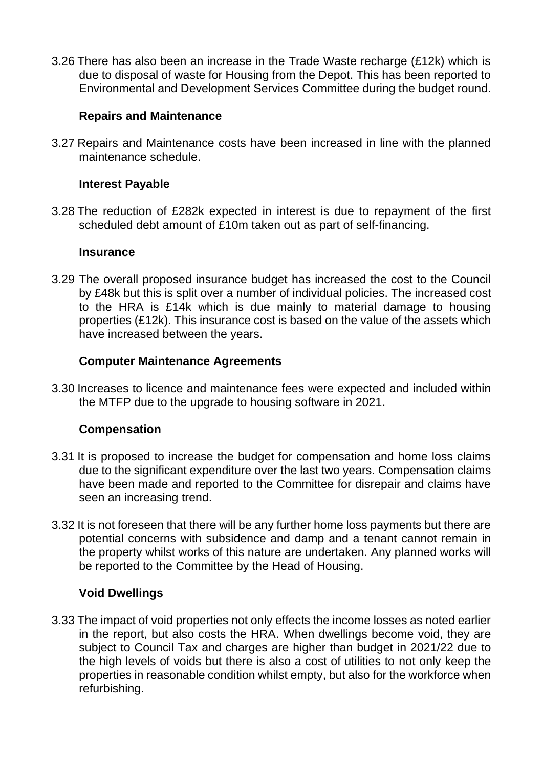3.26 There has also been an increase in the Trade Waste recharge (£12k) which is due to disposal of waste for Housing from the Depot. This has been reported to Environmental and Development Services Committee during the budget round.

### **Repairs and Maintenance**

3.27 Repairs and Maintenance costs have been increased in line with the planned maintenance schedule.

### **Interest Payable**

3.28 The reduction of £282k expected in interest is due to repayment of the first scheduled debt amount of £10m taken out as part of self-financing.

#### **Insurance**

3.29 The overall proposed insurance budget has increased the cost to the Council by £48k but this is split over a number of individual policies. The increased cost to the HRA is £14k which is due mainly to material damage to housing properties (£12k). This insurance cost is based on the value of the assets which have increased between the years.

### **Computer Maintenance Agreements**

3.30 Increases to licence and maintenance fees were expected and included within the MTFP due to the upgrade to housing software in 2021.

## **Compensation**

- 3.31 It is proposed to increase the budget for compensation and home loss claims due to the significant expenditure over the last two years. Compensation claims have been made and reported to the Committee for disrepair and claims have seen an increasing trend.
- 3.32 It is not foreseen that there will be any further home loss payments but there are potential concerns with subsidence and damp and a tenant cannot remain in the property whilst works of this nature are undertaken. Any planned works will be reported to the Committee by the Head of Housing.

#### **Void Dwellings**

3.33 The impact of void properties not only effects the income losses as noted earlier in the report, but also costs the HRA. When dwellings become void, they are subject to Council Tax and charges are higher than budget in 2021/22 due to the high levels of voids but there is also a cost of utilities to not only keep the properties in reasonable condition whilst empty, but also for the workforce when refurbishing.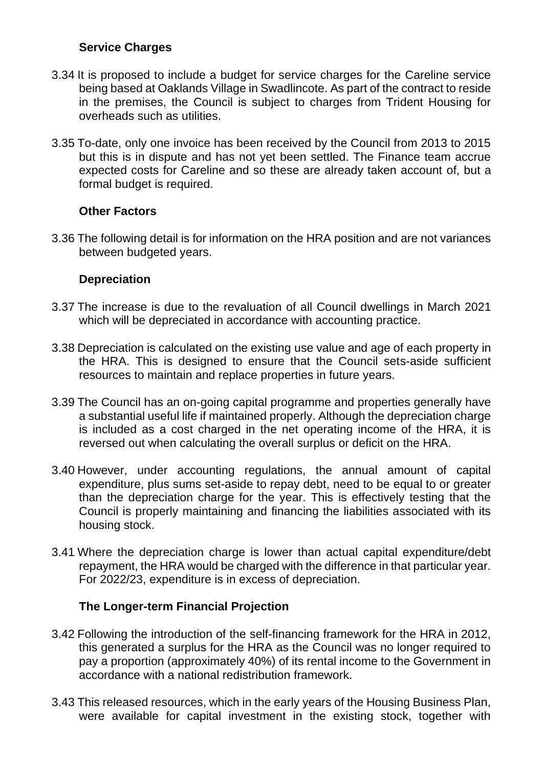## **Service Charges**

- 3.34 It is proposed to include a budget for service charges for the Careline service being based at Oaklands Village in Swadlincote. As part of the contract to reside in the premises, the Council is subject to charges from Trident Housing for overheads such as utilities.
- 3.35 To-date, only one invoice has been received by the Council from 2013 to 2015 but this is in dispute and has not yet been settled. The Finance team accrue expected costs for Careline and so these are already taken account of, but a formal budget is required.

## **Other Factors**

3.36 The following detail is for information on the HRA position and are not variances between budgeted years.

### **Depreciation**

- 3.37 The increase is due to the revaluation of all Council dwellings in March 2021 which will be depreciated in accordance with accounting practice.
- 3.38 Depreciation is calculated on the existing use value and age of each property in the HRA. This is designed to ensure that the Council sets-aside sufficient resources to maintain and replace properties in future years.
- 3.39 The Council has an on-going capital programme and properties generally have a substantial useful life if maintained properly. Although the depreciation charge is included as a cost charged in the net operating income of the HRA, it is reversed out when calculating the overall surplus or deficit on the HRA.
- 3.40 However, under accounting regulations, the annual amount of capital expenditure, plus sums set-aside to repay debt, need to be equal to or greater than the depreciation charge for the year. This is effectively testing that the Council is properly maintaining and financing the liabilities associated with its housing stock.
- 3.41 Where the depreciation charge is lower than actual capital expenditure/debt repayment, the HRA would be charged with the difference in that particular year. For 2022/23, expenditure is in excess of depreciation.

## **The Longer-term Financial Projection**

- 3.42 Following the introduction of the self-financing framework for the HRA in 2012, this generated a surplus for the HRA as the Council was no longer required to pay a proportion (approximately 40%) of its rental income to the Government in accordance with a national redistribution framework.
- 3.43 This released resources, which in the early years of the Housing Business Plan, were available for capital investment in the existing stock, together with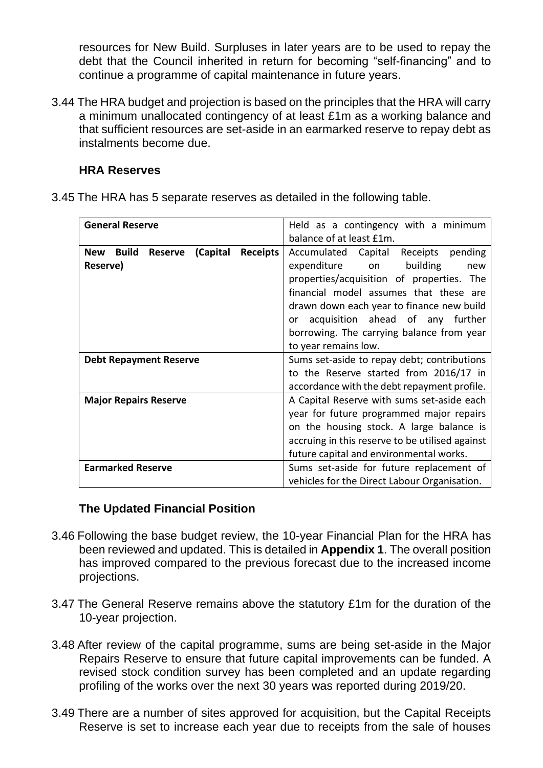resources for New Build. Surpluses in later years are to be used to repay the debt that the Council inherited in return for becoming "self-financing" and to continue a programme of capital maintenance in future years.

3.44 The HRA budget and projection is based on the principles that the HRA will carry a minimum unallocated contingency of at least £1m as a working balance and that sufficient resources are set-aside in an earmarked reserve to repay debt as instalments become due.

## **HRA Reserves**

3.45 The HRA has 5 separate reserves as detailed in the following table.

| <b>General Reserve</b>                                               | Held as a contingency with a minimum            |  |  |  |  |  |
|----------------------------------------------------------------------|-------------------------------------------------|--|--|--|--|--|
|                                                                      | balance of at least £1m.                        |  |  |  |  |  |
| <b>Build</b><br>(Capital<br><b>Receipts</b><br>New<br><b>Reserve</b> | Accumulated Capital<br>Receipts<br>pending      |  |  |  |  |  |
| Reserve)                                                             | expenditure on<br>building<br>new               |  |  |  |  |  |
|                                                                      | properties/acquisition of properties. The       |  |  |  |  |  |
|                                                                      | financial model assumes that these are          |  |  |  |  |  |
|                                                                      | drawn down each year to finance new build       |  |  |  |  |  |
|                                                                      | acquisition ahead of any further<br>or          |  |  |  |  |  |
|                                                                      | borrowing. The carrying balance from year       |  |  |  |  |  |
|                                                                      | to year remains low.                            |  |  |  |  |  |
| <b>Debt Repayment Reserve</b>                                        | Sums set-aside to repay debt; contributions     |  |  |  |  |  |
|                                                                      | to the Reserve started from 2016/17 in          |  |  |  |  |  |
|                                                                      | accordance with the debt repayment profile.     |  |  |  |  |  |
| <b>Major Repairs Reserve</b>                                         | A Capital Reserve with sums set-aside each      |  |  |  |  |  |
|                                                                      | year for future programmed major repairs        |  |  |  |  |  |
|                                                                      | on the housing stock. A large balance is        |  |  |  |  |  |
|                                                                      | accruing in this reserve to be utilised against |  |  |  |  |  |
|                                                                      | future capital and environmental works.         |  |  |  |  |  |
| <b>Earmarked Reserve</b>                                             | Sums set-aside for future replacement of        |  |  |  |  |  |
|                                                                      | vehicles for the Direct Labour Organisation.    |  |  |  |  |  |

#### **The Updated Financial Position**

- 3.46 Following the base budget review, the 10-year Financial Plan for the HRA has been reviewed and updated. This is detailed in **Appendix 1**. The overall position has improved compared to the previous forecast due to the increased income projections.
- 3.47 The General Reserve remains above the statutory £1m for the duration of the 10-year projection.
- 3.48 After review of the capital programme, sums are being set-aside in the Major Repairs Reserve to ensure that future capital improvements can be funded. A revised stock condition survey has been completed and an update regarding profiling of the works over the next 30 years was reported during 2019/20.
- 3.49 There are a number of sites approved for acquisition, but the Capital Receipts Reserve is set to increase each year due to receipts from the sale of houses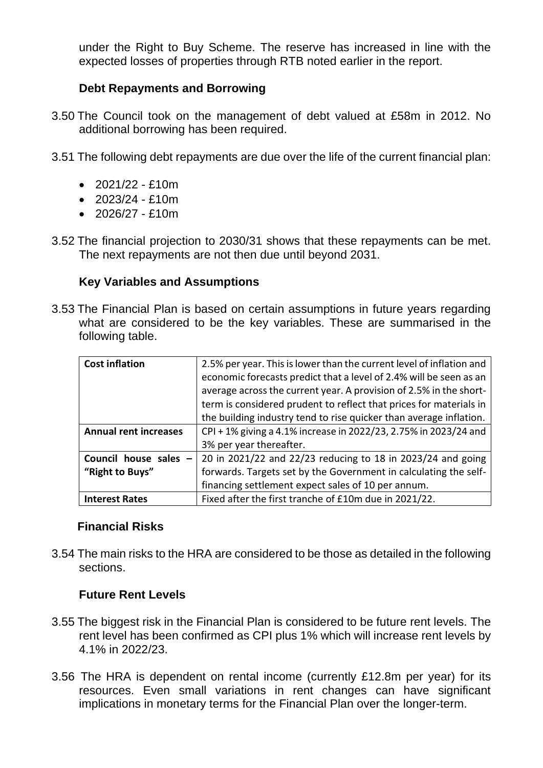under the Right to Buy Scheme. The reserve has increased in line with the expected losses of properties through RTB noted earlier in the report.

## **Debt Repayments and Borrowing**

- 3.50 The Council took on the management of debt valued at £58m in 2012. No additional borrowing has been required.
- 3.51 The following debt repayments are due over the life of the current financial plan:
	- $\cdot$  2021/22 £10m
	- $\cdot$  2023/24 £10m
	- $\cdot$  2026/27 £10m
- 3.52 The financial projection to 2030/31 shows that these repayments can be met. The next repayments are not then due until beyond 2031.

#### **Key Variables and Assumptions**

3.53 The Financial Plan is based on certain assumptions in future years regarding what are considered to be the key variables. These are summarised in the following table.

| <b>Cost inflation</b>        | 2.5% per year. This is lower than the current level of inflation and |
|------------------------------|----------------------------------------------------------------------|
|                              | economic forecasts predict that a level of 2.4% will be seen as an   |
|                              | average across the current year. A provision of 2.5% in the short-   |
|                              | term is considered prudent to reflect that prices for materials in   |
|                              | the building industry tend to rise quicker than average inflation.   |
| <b>Annual rent increases</b> | CPI + 1% giving a 4.1% increase in 2022/23, 2.75% in 2023/24 and     |
|                              | 3% per year thereafter.                                              |
| Council house sales          | 20 in 2021/22 and 22/23 reducing to 18 in 2023/24 and going          |
| "Right to Buys"              | forwards. Targets set by the Government in calculating the self-     |
|                              | financing settlement expect sales of 10 per annum.                   |
| <b>Interest Rates</b>        | Fixed after the first tranche of £10m due in 2021/22.                |

#### **Financial Risks**

3.54 The main risks to the HRA are considered to be those as detailed in the following sections.

#### **Future Rent Levels**

- 3.55 The biggest risk in the Financial Plan is considered to be future rent levels. The rent level has been confirmed as CPI plus 1% which will increase rent levels by 4.1% in 2022/23.
- 3.56 The HRA is dependent on rental income (currently £12.8m per year) for its resources. Even small variations in rent changes can have significant implications in monetary terms for the Financial Plan over the longer-term.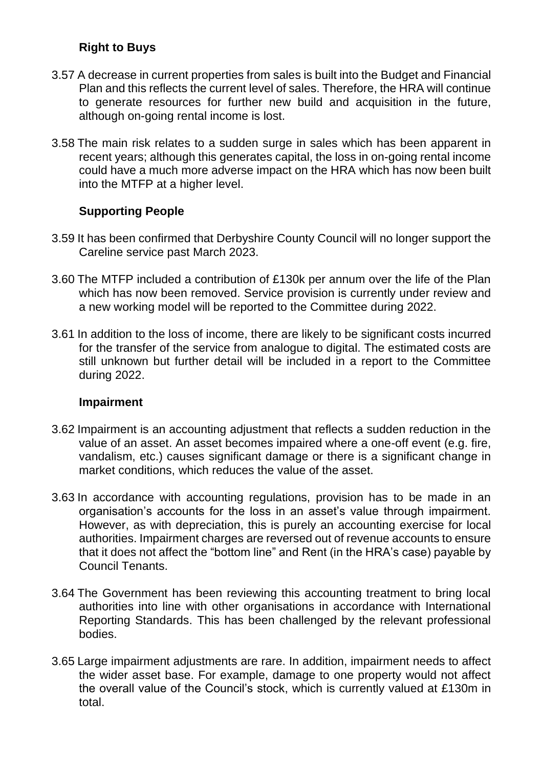# **Right to Buys**

- 3.57 A decrease in current properties from sales is built into the Budget and Financial Plan and this reflects the current level of sales. Therefore, the HRA will continue to generate resources for further new build and acquisition in the future, although on-going rental income is lost.
- 3.58 The main risk relates to a sudden surge in sales which has been apparent in recent years; although this generates capital, the loss in on-going rental income could have a much more adverse impact on the HRA which has now been built into the MTFP at a higher level.

## **Supporting People**

- 3.59 It has been confirmed that Derbyshire County Council will no longer support the Careline service past March 2023.
- 3.60 The MTFP included a contribution of £130k per annum over the life of the Plan which has now been removed. Service provision is currently under review and a new working model will be reported to the Committee during 2022.
- 3.61 In addition to the loss of income, there are likely to be significant costs incurred for the transfer of the service from analogue to digital. The estimated costs are still unknown but further detail will be included in a report to the Committee during 2022.

#### **Impairment**

- 3.62 Impairment is an accounting adjustment that reflects a sudden reduction in the value of an asset. An asset becomes impaired where a one-off event (e.g. fire, vandalism, etc.) causes significant damage or there is a significant change in market conditions, which reduces the value of the asset.
- 3.63 In accordance with accounting regulations, provision has to be made in an organisation's accounts for the loss in an asset's value through impairment. However, as with depreciation, this is purely an accounting exercise for local authorities. Impairment charges are reversed out of revenue accounts to ensure that it does not affect the "bottom line" and Rent (in the HRA's case) payable by Council Tenants.
- 3.64 The Government has been reviewing this accounting treatment to bring local authorities into line with other organisations in accordance with International Reporting Standards. This has been challenged by the relevant professional bodies.
- 3.65 Large impairment adjustments are rare. In addition, impairment needs to affect the wider asset base. For example, damage to one property would not affect the overall value of the Council's stock, which is currently valued at £130m in total.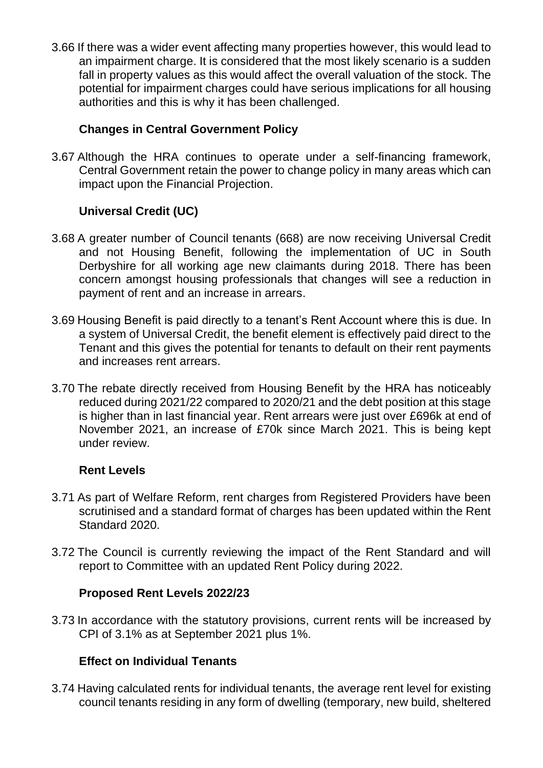3.66 If there was a wider event affecting many properties however, this would lead to an impairment charge. It is considered that the most likely scenario is a sudden fall in property values as this would affect the overall valuation of the stock. The potential for impairment charges could have serious implications for all housing authorities and this is why it has been challenged.

# **Changes in Central Government Policy**

3.67 Although the HRA continues to operate under a self-financing framework, Central Government retain the power to change policy in many areas which can impact upon the Financial Projection.

# **Universal Credit (UC)**

- 3.68 A greater number of Council tenants (668) are now receiving Universal Credit and not Housing Benefit, following the implementation of UC in South Derbyshire for all working age new claimants during 2018. There has been concern amongst housing professionals that changes will see a reduction in payment of rent and an increase in arrears.
- 3.69 Housing Benefit is paid directly to a tenant's Rent Account where this is due. In a system of Universal Credit, the benefit element is effectively paid direct to the Tenant and this gives the potential for tenants to default on their rent payments and increases rent arrears.
- 3.70 The rebate directly received from Housing Benefit by the HRA has noticeably reduced during 2021/22 compared to 2020/21 and the debt position at this stage is higher than in last financial year. Rent arrears were just over £696k at end of November 2021, an increase of £70k since March 2021. This is being kept under review.

## **Rent Levels**

- 3.71 As part of Welfare Reform, rent charges from Registered Providers have been scrutinised and a standard format of charges has been updated within the Rent Standard 2020.
- 3.72 The Council is currently reviewing the impact of the Rent Standard and will report to Committee with an updated Rent Policy during 2022.

# **Proposed Rent Levels 2022/23**

3.73 In accordance with the statutory provisions, current rents will be increased by CPI of 3.1% as at September 2021 plus 1%.

# **Effect on Individual Tenants**

3.74 Having calculated rents for individual tenants, the average rent level for existing council tenants residing in any form of dwelling (temporary, new build, sheltered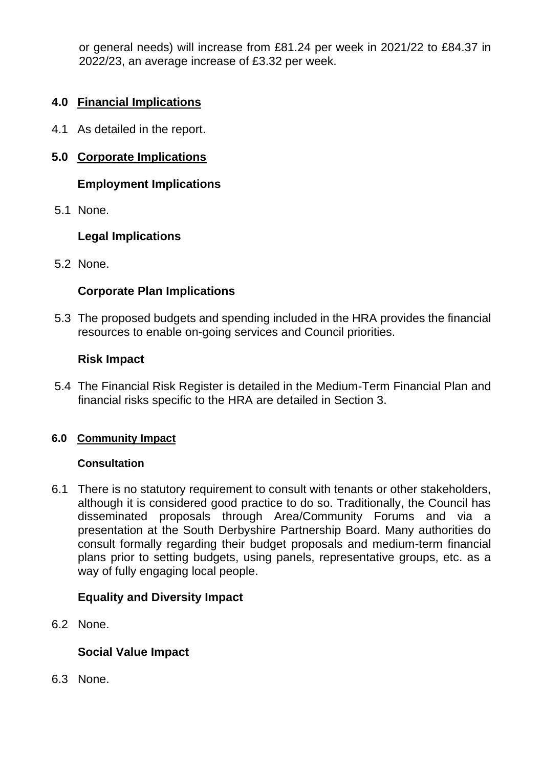or general needs) will increase from £81.24 per week in 2021/22 to £84.37 in 2022/23, an average increase of £3.32 per week.

# **4.0 Financial Implications**

4.1 As detailed in the report.

# **5.0 Corporate Implications**

# **Employment Implications**

5.1 None.

# **Legal Implications**

5.2 None.

# **Corporate Plan Implications**

5.3 The proposed budgets and spending included in the HRA provides the financial resources to enable on-going services and Council priorities.

### **Risk Impact**

5.4 The Financial Risk Register is detailed in the Medium-Term Financial Plan and financial risks specific to the HRA are detailed in Section 3.

#### **6.0 Community Impact**

#### **Consultation**

6.1 There is no statutory requirement to consult with tenants or other stakeholders, although it is considered good practice to do so. Traditionally, the Council has disseminated proposals through Area/Community Forums and via a presentation at the South Derbyshire Partnership Board. Many authorities do consult formally regarding their budget proposals and medium-term financial plans prior to setting budgets, using panels, representative groups, etc. as a way of fully engaging local people.

#### **Equality and Diversity Impact**

6.2 None.

## **Social Value Impact**

6.3 None.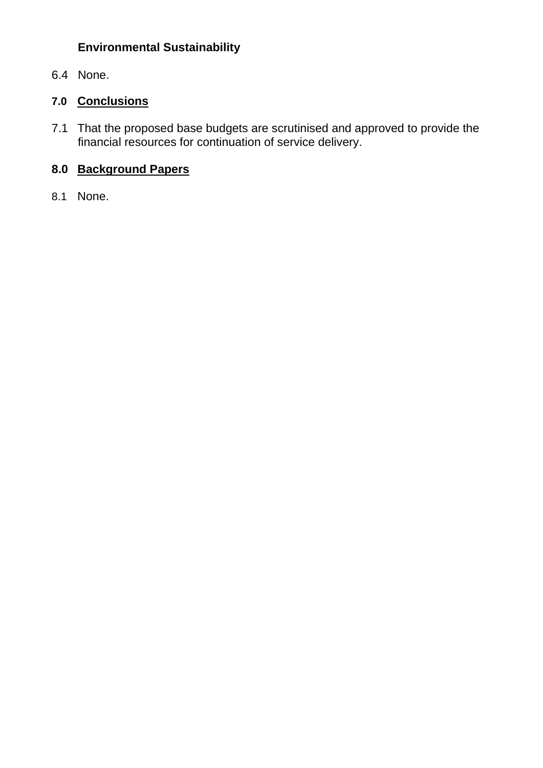# **Environmental Sustainability**

6.4 None.

# **7.0 Conclusions**

7.1 That the proposed base budgets are scrutinised and approved to provide the financial resources for continuation of service delivery.

# **8.0 Background Papers**

8.1 None.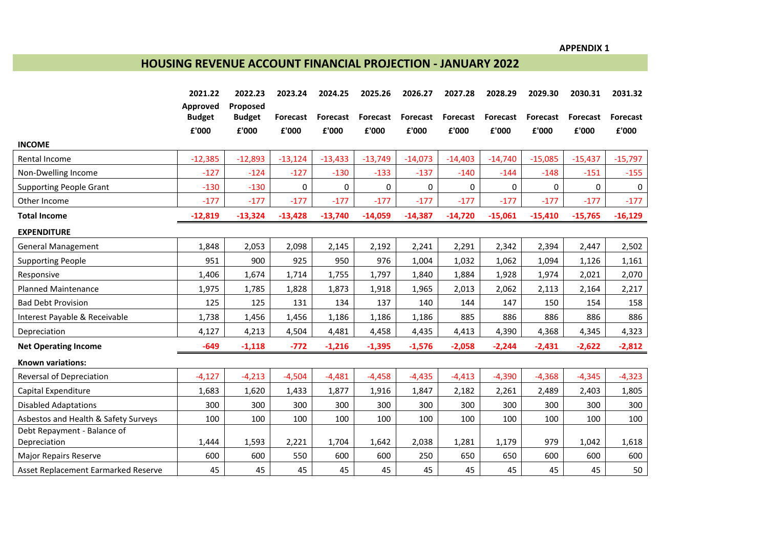**APPENDIX 1**

### **HOUSING REVENUE ACCOUNT FINANCIAL PROJECTION - JANUARY 2022**

|                                      | 2021.22       | 2022.23       | 2023.24         | 2024.25         | 2025.26         | 2026.27         | 2027.28   | 2028.29   | 2029.30   | 2030.31         | 2031.32   |
|--------------------------------------|---------------|---------------|-----------------|-----------------|-----------------|-----------------|-----------|-----------|-----------|-----------------|-----------|
|                                      | Approved      | Proposed      |                 |                 |                 |                 |           |           |           |                 |           |
|                                      | <b>Budget</b> | <b>Budget</b> | <b>Forecast</b> | <b>Forecast</b> | <b>Forecast</b> | <b>Forecast</b> | Forecast  | Forecast  | Forecast  | <b>Forecast</b> | Forecast  |
|                                      | £'000         | £'000         | £'000           | £'000           | £'000           | £'000           | £'000     | £'000     | £'000     | £'000           | £'000     |
| <b>INCOME</b>                        |               |               |                 |                 |                 |                 |           |           |           |                 |           |
| Rental Income                        | $-12,385$     | $-12,893$     | $-13,124$       | $-13,433$       | $-13,749$       | $-14,073$       | $-14,403$ | $-14,740$ | $-15,085$ | $-15,437$       | $-15,797$ |
| Non-Dwelling Income                  | $-127$        | $-124$        | $-127$          | $-130$          | $-133$          | $-137$          | $-140$    | $-144$    | $-148$    | $-151$          | $-155$    |
| <b>Supporting People Grant</b>       | $-130$        | $-130$        | 0               | 0               | 0               | 0               | 0         | 0         | 0         | $\mathbf{0}$    | 0         |
| Other Income                         | $-177$        | $-177$        | $-177$          | $-177$          | $-177$          | $-177$          | $-177$    | $-177$    | $-177$    | $-177$          | $-177$    |
| <b>Total Income</b>                  | $-12,819$     | $-13,324$     | $-13,428$       | $-13,740$       | $-14,059$       | $-14,387$       | $-14,720$ | $-15,061$ | $-15,410$ | $-15,765$       | $-16,129$ |
| <b>EXPENDITURE</b>                   |               |               |                 |                 |                 |                 |           |           |           |                 |           |
| <b>General Management</b>            | 1,848         | 2,053         | 2,098           | 2,145           | 2,192           | 2,241           | 2,291     | 2,342     | 2,394     | 2,447           | 2,502     |
| <b>Supporting People</b>             | 951           | 900           | 925             | 950             | 976             | 1,004           | 1,032     | 1,062     | 1,094     | 1,126           | 1,161     |
| Responsive                           | 1,406         | 1,674         | 1,714           | 1,755           | 1,797           | 1,840           | 1,884     | 1,928     | 1,974     | 2,021           | 2,070     |
| <b>Planned Maintenance</b>           | 1,975         | 1,785         | 1,828           | 1,873           | 1,918           | 1,965           | 2,013     | 2,062     | 2,113     | 2,164           | 2,217     |
| <b>Bad Debt Provision</b>            | 125           | 125           | 131             | 134             | 137             | 140             | 144       | 147       | 150       | 154             | 158       |
| Interest Payable & Receivable        | 1,738         | 1,456         | 1,456           | 1,186           | 1,186           | 1,186           | 885       | 886       | 886       | 886             | 886       |
| Depreciation                         | 4,127         | 4,213         | 4,504           | 4,481           | 4,458           | 4,435           | 4,413     | 4,390     | 4,368     | 4,345           | 4,323     |
| <b>Net Operating Income</b>          | $-649$        | $-1,118$      | $-772$          | $-1,216$        | $-1,395$        | $-1,576$        | $-2,058$  | $-2,244$  | $-2,431$  | $-2,622$        | $-2,812$  |
| <b>Known variations:</b>             |               |               |                 |                 |                 |                 |           |           |           |                 |           |
| Reversal of Depreciation             | $-4,127$      | $-4,213$      | $-4,504$        | $-4,481$        | $-4,458$        | $-4,435$        | $-4,413$  | $-4,390$  | $-4,368$  | $-4,345$        | $-4,323$  |
| Capital Expenditure                  | 1,683         | 1,620         | 1,433           | 1,877           | 1,916           | 1,847           | 2,182     | 2,261     | 2,489     | 2,403           | 1,805     |
| <b>Disabled Adaptations</b>          | 300           | 300           | 300             | 300             | 300             | 300             | 300       | 300       | 300       | 300             | 300       |
| Asbestos and Health & Safety Surveys | 100           | 100           | 100             | 100             | 100             | 100             | 100       | 100       | 100       | 100             | 100       |
| Debt Repayment - Balance of          |               |               |                 |                 |                 |                 |           |           |           |                 |           |
| Depreciation                         | 1,444         | 1,593         | 2,221           | 1,704           | 1,642           | 2,038           | 1,281     | 1,179     | 979       | 1,042           | 1,618     |
| <b>Major Repairs Reserve</b>         | 600           | 600           | 550             | 600             | 600             | 250             | 650       | 650       | 600       | 600             | 600       |
| Asset Replacement Earmarked Reserve  | 45            | 45            | 45              | 45              | 45              | 45              | 45        | 45        | 45        | 45              | 50        |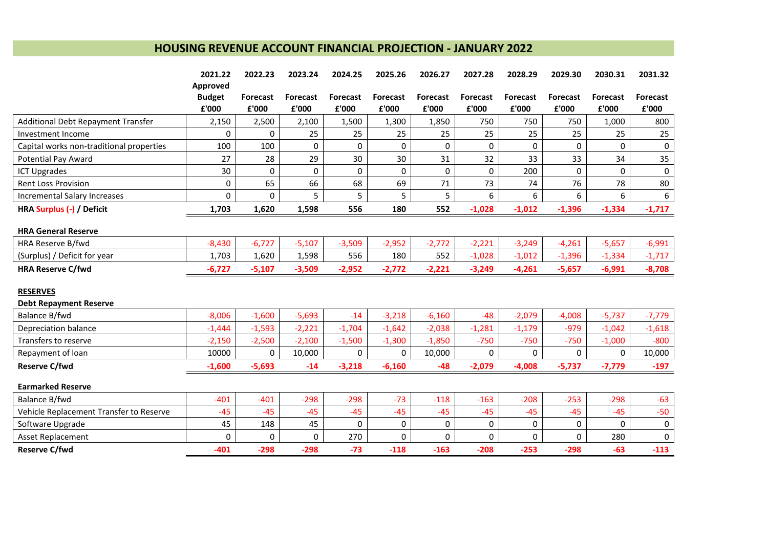# **HOUSING REVENUE ACCOUNT FINANCIAL PROJECTION - JANUARY 2022**

|                                          | 2021.22       | 2022.23         | 2023.24         | 2024.25         | 2025.26         | 2026.27         | 2027.28     | 2028.29         | 2029.30         | 2030.31         | 2031.32         |
|------------------------------------------|---------------|-----------------|-----------------|-----------------|-----------------|-----------------|-------------|-----------------|-----------------|-----------------|-----------------|
|                                          | Approved      |                 |                 |                 |                 |                 |             |                 |                 |                 |                 |
|                                          | <b>Budget</b> | <b>Forecast</b> | <b>Forecast</b> | <b>Forecast</b> | <b>Forecast</b> | <b>Forecast</b> | Forecast    | <b>Forecast</b> | <b>Forecast</b> | <b>Forecast</b> | <b>Forecast</b> |
|                                          | £'000         | £'000           | £'000           | £'000           | £'000           | £'000           | £'000       | £'000           | £'000           | £'000           | £'000           |
| Additional Debt Repayment Transfer       | 2,150         | 2,500           | 2,100           | 1,500           | 1,300           | 1,850           | 750         | 750             | 750             | 1,000           | 800             |
| Investment Income                        | 0             | 0               | 25              | 25              | 25              | 25              | 25          | 25              | 25              | 25              | 25              |
| Capital works non-traditional properties | 100           | 100             | 0               | $\Omega$        | 0               | $\Omega$        | 0           | $\Omega$        | $\mathbf 0$     | $\Omega$        | $\mathbf 0$     |
| <b>Potential Pay Award</b>               | 27            | 28              | 29              | 30              | 30              | 31              | 32          | 33              | 33              | 34              | 35              |
| <b>ICT Upgrades</b>                      | 30            | 0               | 0               | 0               | 0               | 0               | $\mathbf 0$ | 200             | $\Omega$        | $\Omega$        | $\pmb{0}$       |
| <b>Rent Loss Provision</b>               | 0             | 65              | 66              | 68              | 69              | 71              | 73          | 74              | 76              | 78              | 80              |
| <b>Incremental Salary Increases</b>      | 0             | 0               | 5               | 5               | 5               | 5               | 6           | 6               | 6               | 6               | 6               |
| HRA Surplus (-) / Deficit                | 1,703         | 1,620           | 1,598           | 556             | 180             | 552             | $-1,028$    | $-1,012$        | $-1,396$        | $-1,334$        | $-1,717$        |
| <b>HRA General Reserve</b>               |               |                 |                 |                 |                 |                 |             |                 |                 |                 |                 |
| HRA Reserve B/fwd                        | $-8,430$      | $-6,727$        | $-5,107$        | $-3,509$        | $-2,952$        | $-2,772$        | $-2,221$    | $-3,249$        | $-4,261$        | $-5,657$        | $-6,991$        |
| (Surplus) / Deficit for year             | 1,703         | 1,620           | 1,598           | 556             | 180             | 552             | $-1,028$    | $-1,012$        | $-1,396$        | $-1,334$        | $-1,717$        |
| <b>HRA Reserve C/fwd</b>                 | $-6,727$      | $-5,107$        | $-3,509$        | $-2,952$        | $-2,772$        | $-2,221$        | $-3,249$    | $-4,261$        | $-5,657$        | $-6,991$        | $-8,708$        |
| <b>RESERVES</b>                          |               |                 |                 |                 |                 |                 |             |                 |                 |                 |                 |
| <b>Debt Repayment Reserve</b>            |               |                 |                 |                 |                 |                 |             |                 |                 |                 |                 |
|                                          |               |                 |                 |                 |                 |                 |             |                 |                 |                 |                 |
| Balance B/fwd                            | $-8,006$      | $-1,600$        | $-5,693$        | $-14$           | $-3,218$        | $-6,160$        | $-48$       | $-2,079$        | $-4,008$        | $-5,737$        | $-7,779$        |
| Depreciation balance                     | $-1,444$      | $-1,593$        | $-2,221$        | $-1,704$        | $-1,642$        | $-2,038$        | $-1,281$    | $-1,179$        | $-979$          | $-1,042$        | $-1,618$        |
| Transfers to reserve                     | $-2,150$      | $-2,500$        | $-2,100$        | $-1,500$        | $-1,300$        | $-1,850$        | $-750$      | $-750$          | $-750$          | $-1,000$        | $-800$          |
| Repayment of loan                        | 10000         | 0               | 10,000          | 0               | 0               | 10,000          | 0           | $\Omega$        | 0               | 0               | 10,000          |
| <b>Reserve C/fwd</b>                     | $-1,600$      | $-5,693$        | $-14$           | $-3,218$        | $-6,160$        | $-48$           | $-2,079$    | $-4,008$        | $-5,737$        | $-7,779$        | $-197$          |
| <b>Earmarked Reserve</b>                 |               |                 |                 |                 |                 |                 |             |                 |                 |                 |                 |
| Balance B/fwd                            | $-401$        | $-401$          | $-298$          | $-298$          | $-73$           | $-118$          | $-163$      | $-208$          | $-253$          | $-298$          | $-63$           |
| Vehicle Replacement Transfer to Reserve  | $-45$         | $-45$           | $-45$           | $-45$           | $-45$           | $-45$           | $-45$       | $-45$           | $-45$           | $-45$           | $-50$           |
| Software Upgrade                         | 45            | 148             | 45              | 0               | 0               | $\mathbf 0$     | 0           | 0               | 0               | 0               | $\pmb{0}$       |
| Asset Replacement                        | 0             | 0               | $\Omega$        | 270             | $\Omega$        | $\Omega$        | $\Omega$    | $\Omega$        | $\Omega$        | 280             | 0               |
| <b>Reserve C/fwd</b>                     | $-401$        | $-298$          | $-298$          | $-73$           | $-118$          | $-163$          | $-208$      | $-253$          | $-298$          | $-63$           | $-113$          |